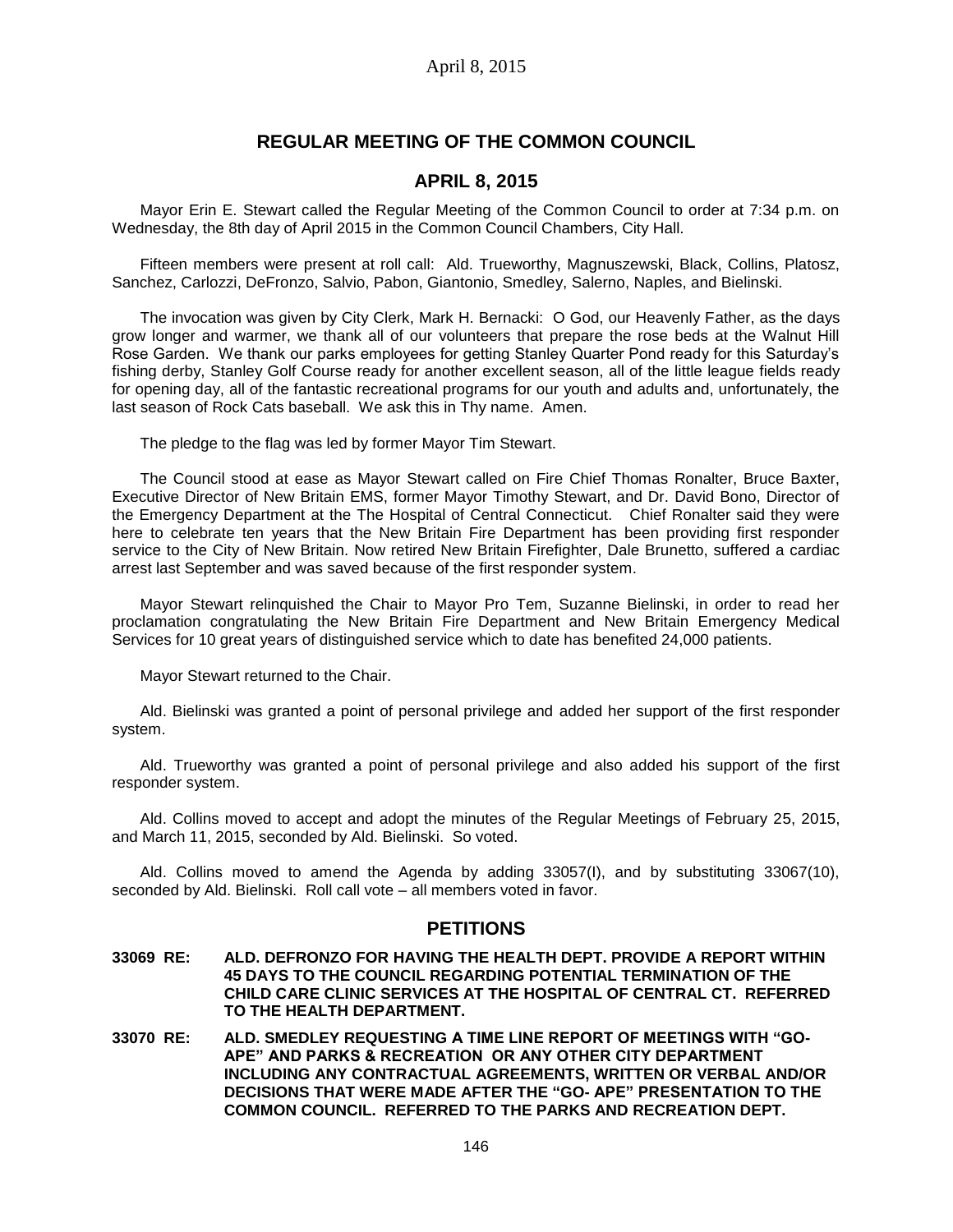# **REGULAR MEETING OF THE COMMON COUNCIL**

## **APRIL 8, 2015**

Mayor Erin E. Stewart called the Regular Meeting of the Common Council to order at 7:34 p.m. on Wednesday, the 8th day of April 2015 in the Common Council Chambers, City Hall.

Fifteen members were present at roll call: Ald. Trueworthy, Magnuszewski, Black, Collins, Platosz, Sanchez, Carlozzi, DeFronzo, Salvio, Pabon, Giantonio, Smedley, Salerno, Naples, and Bielinski.

The invocation was given by City Clerk, Mark H. Bernacki: O God, our Heavenly Father, as the days grow longer and warmer, we thank all of our volunteers that prepare the rose beds at the Walnut Hill Rose Garden. We thank our parks employees for getting Stanley Quarter Pond ready for this Saturday's fishing derby, Stanley Golf Course ready for another excellent season, all of the little league fields ready for opening day, all of the fantastic recreational programs for our youth and adults and, unfortunately, the last season of Rock Cats baseball. We ask this in Thy name. Amen.

The pledge to the flag was led by former Mayor Tim Stewart.

The Council stood at ease as Mayor Stewart called on Fire Chief Thomas Ronalter, Bruce Baxter, Executive Director of New Britain EMS, former Mayor Timothy Stewart, and Dr. David Bono, Director of the Emergency Department at the The Hospital of Central Connecticut. Chief Ronalter said they were here to celebrate ten years that the New Britain Fire Department has been providing first responder service to the City of New Britain. Now retired New Britain Firefighter, Dale Brunetto, suffered a cardiac arrest last September and was saved because of the first responder system.

Mayor Stewart relinquished the Chair to Mayor Pro Tem, Suzanne Bielinski, in order to read her proclamation congratulating the New Britain Fire Department and New Britain Emergency Medical Services for 10 great years of distinguished service which to date has benefited 24,000 patients.

Mayor Stewart returned to the Chair.

Ald. Bielinski was granted a point of personal privilege and added her support of the first responder system.

Ald. Trueworthy was granted a point of personal privilege and also added his support of the first responder system.

Ald. Collins moved to accept and adopt the minutes of the Regular Meetings of February 25, 2015, and March 11, 2015, seconded by Ald. Bielinski. So voted.

Ald. Collins moved to amend the Agenda by adding 33057(I), and by substituting 33067(10), seconded by Ald. Bielinski. Roll call vote – all members voted in favor.

## **PETITIONS**

- **33069 RE: ALD. DEFRONZO FOR HAVING THE HEALTH DEPT. PROVIDE A REPORT WITHIN 45 DAYS TO THE COUNCIL REGARDING POTENTIAL TERMINATION OF THE CHILD CARE CLINIC SERVICES AT THE HOSPITAL OF CENTRAL CT. REFERRED TO THE HEALTH DEPARTMENT.**
- **33070 RE: ALD. SMEDLEY REQUESTING A TIME LINE REPORT OF MEETINGS WITH "GO-APE" AND PARKS & RECREATION OR ANY OTHER CITY DEPARTMENT INCLUDING ANY CONTRACTUAL AGREEMENTS, WRITTEN OR VERBAL AND/OR DECISIONS THAT WERE MADE AFTER THE "GO- APE" PRESENTATION TO THE COMMON COUNCIL. REFERRED TO THE PARKS AND RECREATION DEPT.**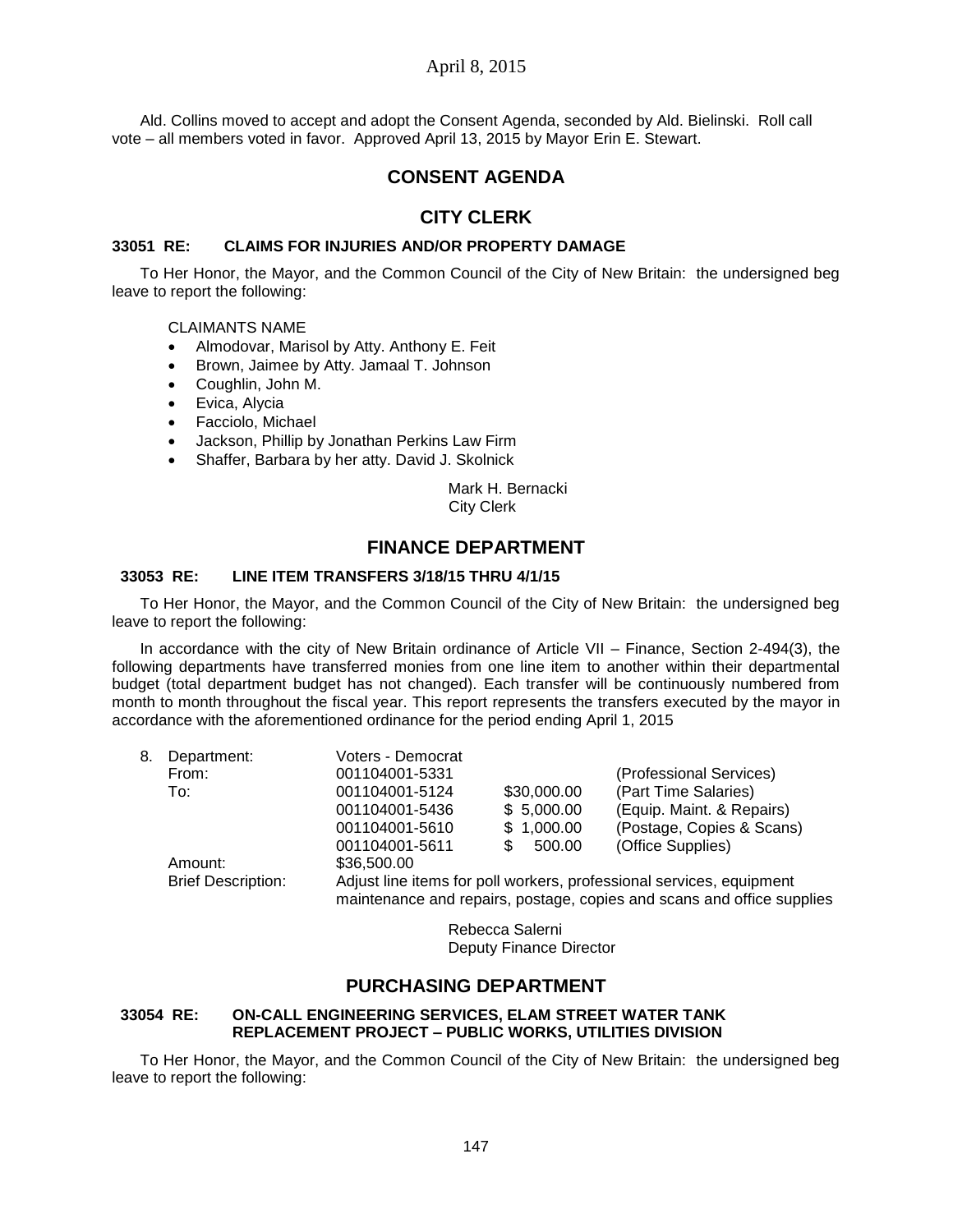## April 8, 2015

Ald. Collins moved to accept and adopt the Consent Agenda, seconded by Ald. Bielinski. Roll call vote – all members voted in favor. Approved April 13, 2015 by Mayor Erin E. Stewart.

## **CONSENT AGENDA**

## **CITY CLERK**

### **33051 RE: CLAIMS FOR INJURIES AND/OR PROPERTY DAMAGE**

To Her Honor, the Mayor, and the Common Council of the City of New Britain: the undersigned beg leave to report the following:

#### CLAIMANTS NAME

- Almodovar, Marisol by Atty. Anthony E. Feit
- Brown, Jaimee by Atty. Jamaal T. Johnson
- Coughlin, John M.
- Evica, Alycia
- Facciolo, Michael
- Jackson, Phillip by Jonathan Perkins Law Firm
- Shaffer, Barbara by her atty. David J. Skolnick

Mark H. Bernacki City Clerk

## **FINANCE DEPARTMENT**

### **33053 RE: LINE ITEM TRANSFERS 3/18/15 THRU 4/1/15**

To Her Honor, the Mayor, and the Common Council of the City of New Britain: the undersigned beg leave to report the following:

In accordance with the city of New Britain ordinance of Article VII – Finance, Section 2-494(3), the following departments have transferred monies from one line item to another within their departmental budget (total department budget has not changed). Each transfer will be continuously numbered from month to month throughout the fiscal year. This report represents the transfers executed by the mayor in accordance with the aforementioned ordinance for the period ending April 1, 2015

| 8. | Department:               | Voters - Democrat                                                      |               |                           |  |
|----|---------------------------|------------------------------------------------------------------------|---------------|---------------------------|--|
|    | From:                     | 001104001-5331                                                         |               | (Professional Services)   |  |
|    | To:                       | 001104001-5124                                                         | \$30,000.00   | (Part Time Salaries)      |  |
|    |                           | 001104001-5436                                                         | \$5,000.00    | (Equip. Maint. & Repairs) |  |
|    |                           | 001104001-5610                                                         | \$1,000.00    | (Postage, Copies & Scans) |  |
|    |                           | 001104001-5611                                                         | 500.00<br>SS. | (Office Supplies)         |  |
|    | Amount:                   | \$36,500.00                                                            |               |                           |  |
|    | <b>Brief Description:</b> | Adjust line items for poll workers, professional services, equipment   |               |                           |  |
|    |                           | maintenance and repairs, postage, copies and scans and office supplies |               |                           |  |

Rebecca Salerni Deputy Finance Director

# **PURCHASING DEPARTMENT**

## **33054 RE: ON-CALL ENGINEERING SERVICES, ELAM STREET WATER TANK REPLACEMENT PROJECT – PUBLIC WORKS, UTILITIES DIVISION**

To Her Honor, the Mayor, and the Common Council of the City of New Britain: the undersigned beg leave to report the following: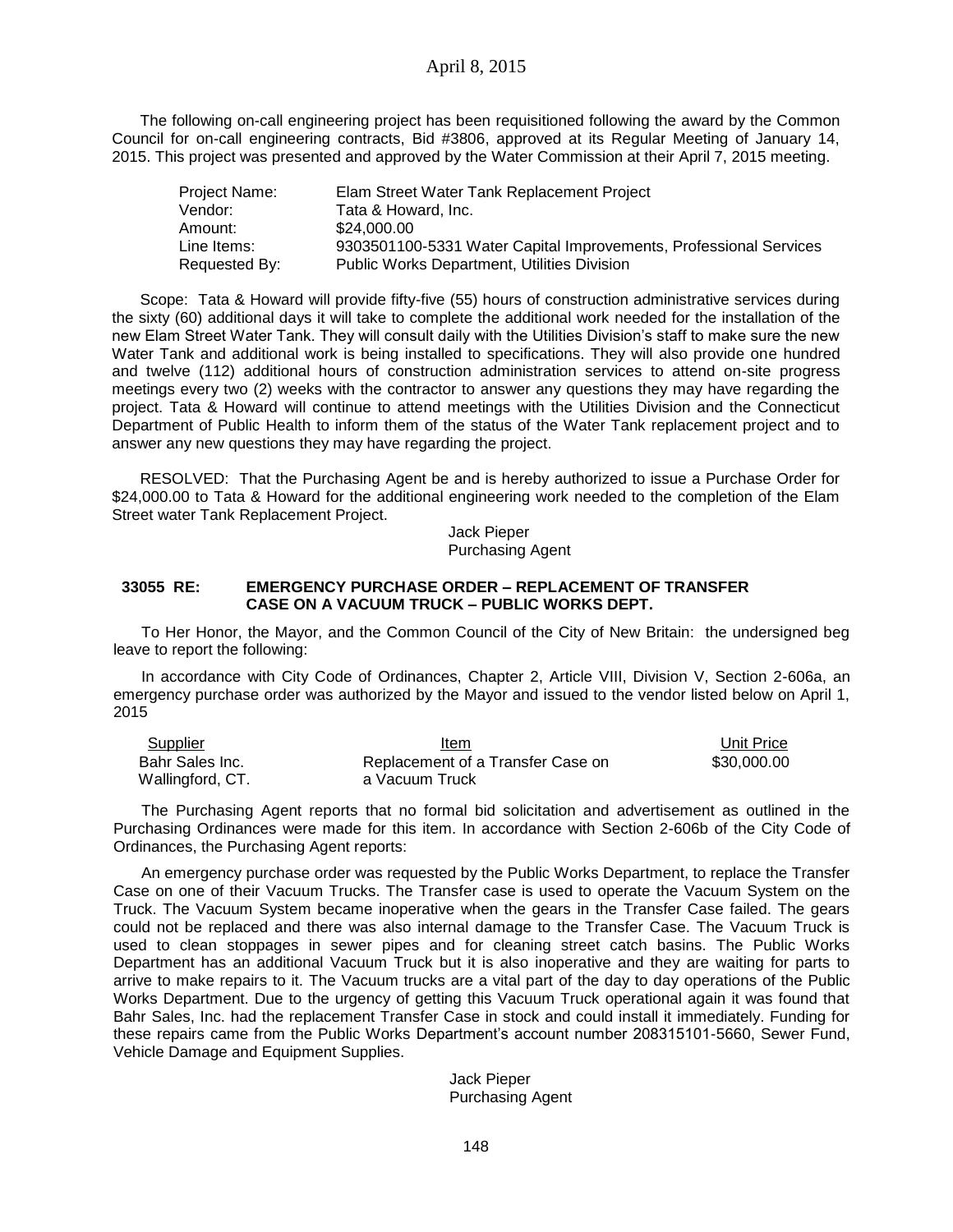The following on-call engineering project has been requisitioned following the award by the Common Council for on-call engineering contracts, Bid #3806, approved at its Regular Meeting of January 14, 2015. This project was presented and approved by the Water Commission at their April 7, 2015 meeting.

| Project Name: | Elam Street Water Tank Replacement Project                        |
|---------------|-------------------------------------------------------------------|
| Vendor:       | Tata & Howard, Inc.                                               |
| Amount:       | \$24,000,00                                                       |
| Line Items:   | 9303501100-5331 Water Capital Improvements, Professional Services |
| Requested By: | Public Works Department, Utilities Division                       |

Scope: Tata & Howard will provide fifty-five (55) hours of construction administrative services during the sixty (60) additional days it will take to complete the additional work needed for the installation of the new Elam Street Water Tank. They will consult daily with the Utilities Division's staff to make sure the new Water Tank and additional work is being installed to specifications. They will also provide one hundred and twelve (112) additional hours of construction administration services to attend on-site progress meetings every two (2) weeks with the contractor to answer any questions they may have regarding the project. Tata & Howard will continue to attend meetings with the Utilities Division and the Connecticut Department of Public Health to inform them of the status of the Water Tank replacement project and to answer any new questions they may have regarding the project.

RESOLVED: That the Purchasing Agent be and is hereby authorized to issue a Purchase Order for \$24,000.00 to Tata & Howard for the additional engineering work needed to the completion of the Elam Street water Tank Replacement Project.

> Jack Pieper Purchasing Agent

### **33055 RE: EMERGENCY PURCHASE ORDER – REPLACEMENT OF TRANSFER CASE ON A VACUUM TRUCK – PUBLIC WORKS DEPT.**

To Her Honor, the Mayor, and the Common Council of the City of New Britain: the undersigned beg leave to report the following:

In accordance with City Code of Ordinances, Chapter 2, Article VIII, Division V, Section 2-606a, an emergency purchase order was authorized by the Mayor and issued to the vendor listed below on April 1, 2015

| <b>Supplier</b>  | Item                              | Unit Price  |
|------------------|-----------------------------------|-------------|
| Bahr Sales Inc.  | Replacement of a Transfer Case on | \$30,000,00 |
| Wallingford, CT. | a Vacuum Truck                    |             |

The Purchasing Agent reports that no formal bid solicitation and advertisement as outlined in the Purchasing Ordinances were made for this item. In accordance with Section 2-606b of the City Code of Ordinances, the Purchasing Agent reports:

An emergency purchase order was requested by the Public Works Department, to replace the Transfer Case on one of their Vacuum Trucks. The Transfer case is used to operate the Vacuum System on the Truck. The Vacuum System became inoperative when the gears in the Transfer Case failed. The gears could not be replaced and there was also internal damage to the Transfer Case. The Vacuum Truck is used to clean stoppages in sewer pipes and for cleaning street catch basins. The Public Works Department has an additional Vacuum Truck but it is also inoperative and they are waiting for parts to arrive to make repairs to it. The Vacuum trucks are a vital part of the day to day operations of the Public Works Department. Due to the urgency of getting this Vacuum Truck operational again it was found that Bahr Sales, Inc. had the replacement Transfer Case in stock and could install it immediately. Funding for these repairs came from the Public Works Department's account number 208315101-5660, Sewer Fund, Vehicle Damage and Equipment Supplies.

> Jack Pieper Purchasing Agent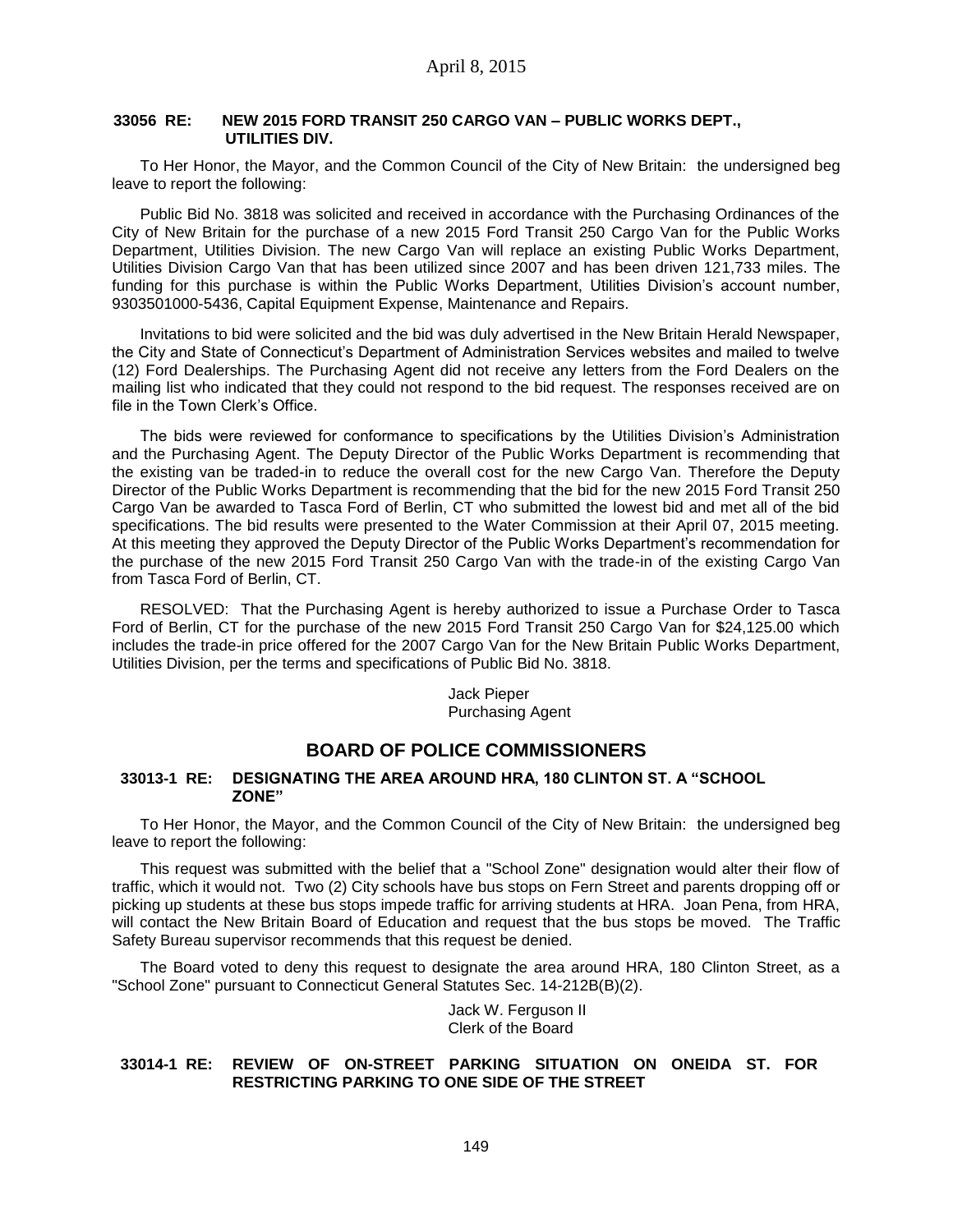### **33056 RE: NEW 2015 FORD TRANSIT 250 CARGO VAN – PUBLIC WORKS DEPT., UTILITIES DIV.**

To Her Honor, the Mayor, and the Common Council of the City of New Britain: the undersigned beg leave to report the following:

Public Bid No. 3818 was solicited and received in accordance with the Purchasing Ordinances of the City of New Britain for the purchase of a new 2015 Ford Transit 250 Cargo Van for the Public Works Department, Utilities Division. The new Cargo Van will replace an existing Public Works Department, Utilities Division Cargo Van that has been utilized since 2007 and has been driven 121,733 miles. The funding for this purchase is within the Public Works Department, Utilities Division's account number, 9303501000-5436, Capital Equipment Expense, Maintenance and Repairs.

Invitations to bid were solicited and the bid was duly advertised in the New Britain Herald Newspaper, the City and State of Connecticut's Department of Administration Services websites and mailed to twelve (12) Ford Dealerships. The Purchasing Agent did not receive any letters from the Ford Dealers on the mailing list who indicated that they could not respond to the bid request. The responses received are on file in the Town Clerk's Office.

The bids were reviewed for conformance to specifications by the Utilities Division's Administration and the Purchasing Agent. The Deputy Director of the Public Works Department is recommending that the existing van be traded-in to reduce the overall cost for the new Cargo Van. Therefore the Deputy Director of the Public Works Department is recommending that the bid for the new 2015 Ford Transit 250 Cargo Van be awarded to Tasca Ford of Berlin, CT who submitted the lowest bid and met all of the bid specifications. The bid results were presented to the Water Commission at their April 07, 2015 meeting. At this meeting they approved the Deputy Director of the Public Works Department's recommendation for the purchase of the new 2015 Ford Transit 250 Cargo Van with the trade-in of the existing Cargo Van from Tasca Ford of Berlin, CT.

RESOLVED: That the Purchasing Agent is hereby authorized to issue a Purchase Order to Tasca Ford of Berlin, CT for the purchase of the new 2015 Ford Transit 250 Cargo Van for \$24,125.00 which includes the trade-in price offered for the 2007 Cargo Van for the New Britain Public Works Department, Utilities Division, per the terms and specifications of Public Bid No. 3818.

#### Jack Pieper Purchasing Agent

# **BOARD OF POLICE COMMISSIONERS**

### **33013-1 RE: DESIGNATING THE AREA AROUND HRA, 180 CLINTON ST. A "SCHOOL ZONE"**

To Her Honor, the Mayor, and the Common Council of the City of New Britain: the undersigned beg leave to report the following:

This request was submitted with the belief that a "School Zone" designation would alter their flow of traffic, which it would not. Two (2) City schools have bus stops on Fern Street and parents dropping off or picking up students at these bus stops impede traffic for arriving students at HRA. Joan Pena, from HRA, will contact the New Britain Board of Education and request that the bus stops be moved. The Traffic Safety Bureau supervisor recommends that this request be denied.

The Board voted to deny this request to designate the area around HRA, 180 Clinton Street, as a "School Zone" pursuant to Connecticut General Statutes Sec. 14-212B(B)(2).

> Jack W. Ferguson II Clerk of the Board

### **33014-1 RE: REVIEW OF ON-STREET PARKING SITUATION ON ONEIDA ST. FOR RESTRICTING PARKING TO ONE SIDE OF THE STREET**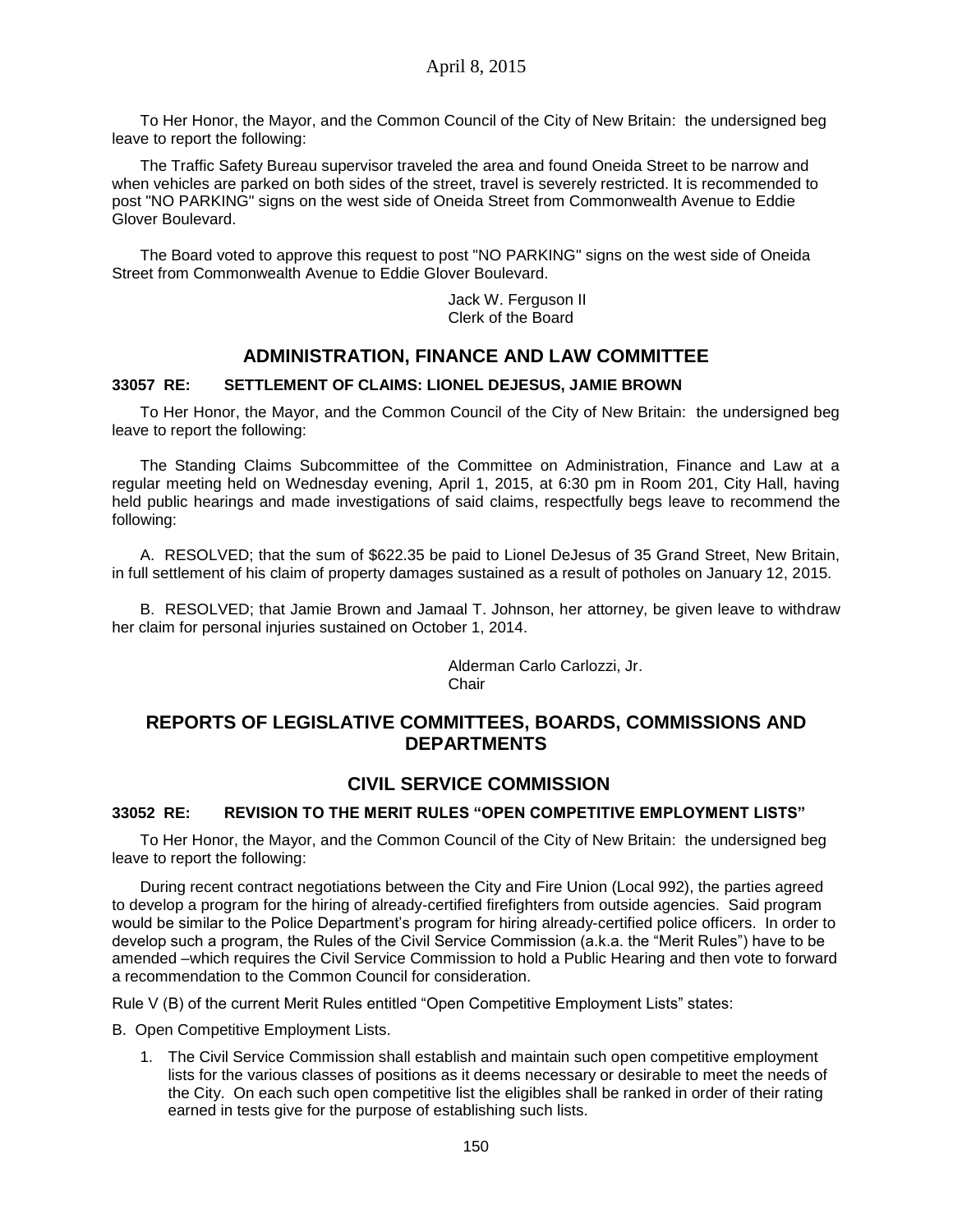To Her Honor, the Mayor, and the Common Council of the City of New Britain: the undersigned beg leave to report the following:

The Traffic Safety Bureau supervisor traveled the area and found Oneida Street to be narrow and when vehicles are parked on both sides of the street, travel is severely restricted. It is recommended to post "NO PARKING" signs on the west side of Oneida Street from Commonwealth Avenue to Eddie Glover Boulevard.

The Board voted to approve this request to post "NO PARKING" signs on the west side of Oneida Street from Commonwealth Avenue to Eddie Glover Boulevard.

> Jack W. Ferguson II Clerk of the Board

# **ADMINISTRATION, FINANCE AND LAW COMMITTEE**

## **33057 RE: SETTLEMENT OF CLAIMS: LIONEL DEJESUS, JAMIE BROWN**

To Her Honor, the Mayor, and the Common Council of the City of New Britain: the undersigned beg leave to report the following:

The Standing Claims Subcommittee of the Committee on Administration, Finance and Law at a regular meeting held on Wednesday evening, April 1, 2015, at 6:30 pm in Room 201, City Hall, having held public hearings and made investigations of said claims, respectfully begs leave to recommend the following:

A. RESOLVED; that the sum of \$622.35 be paid to Lionel DeJesus of 35 Grand Street, New Britain, in full settlement of his claim of property damages sustained as a result of potholes on January 12, 2015.

B. RESOLVED; that Jamie Brown and Jamaal T. Johnson, her attorney, be given leave to withdraw her claim for personal injuries sustained on October 1, 2014.

> Alderman Carlo Carlozzi, Jr. Chair

# **REPORTS OF LEGISLATIVE COMMITTEES, BOARDS, COMMISSIONS AND DEPARTMENTS**

## **CIVIL SERVICE COMMISSION**

## **33052 RE: REVISION TO THE MERIT RULES "OPEN COMPETITIVE EMPLOYMENT LISTS"**

To Her Honor, the Mayor, and the Common Council of the City of New Britain: the undersigned beg leave to report the following:

During recent contract negotiations between the City and Fire Union (Local 992), the parties agreed to develop a program for the hiring of already-certified firefighters from outside agencies. Said program would be similar to the Police Department's program for hiring already-certified police officers. In order to develop such a program, the Rules of the Civil Service Commission (a.k.a. the "Merit Rules") have to be amended –which requires the Civil Service Commission to hold a Public Hearing and then vote to forward a recommendation to the Common Council for consideration.

Rule V (B) of the current Merit Rules entitled "Open Competitive Employment Lists" states:

B. Open Competitive Employment Lists.

1. The Civil Service Commission shall establish and maintain such open competitive employment lists for the various classes of positions as it deems necessary or desirable to meet the needs of the City. On each such open competitive list the eligibles shall be ranked in order of their rating earned in tests give for the purpose of establishing such lists.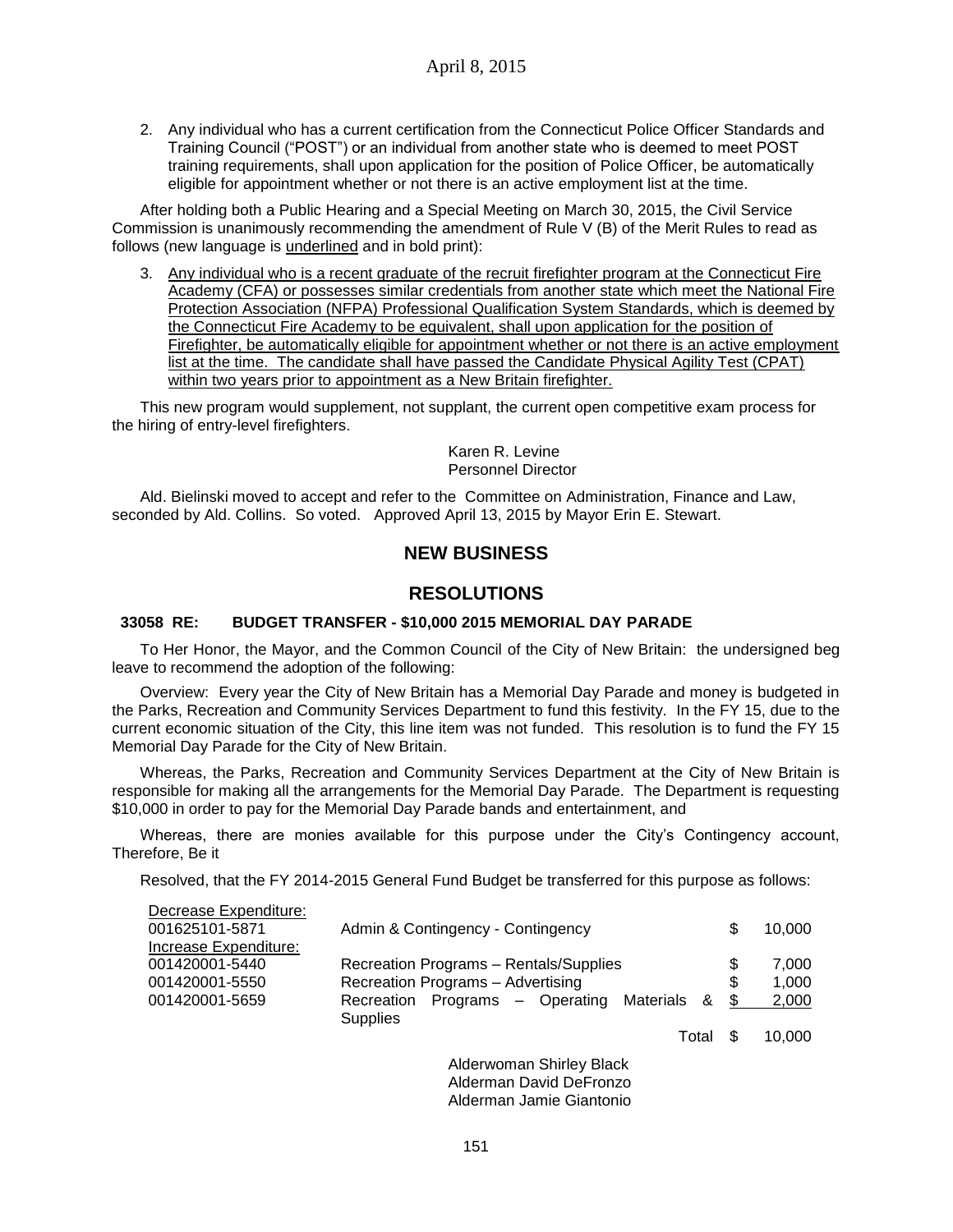2. Any individual who has a current certification from the Connecticut Police Officer Standards and Training Council ("POST") or an individual from another state who is deemed to meet POST training requirements, shall upon application for the position of Police Officer, be automatically eligible for appointment whether or not there is an active employment list at the time.

After holding both a Public Hearing and a Special Meeting on March 30, 2015, the Civil Service Commission is unanimously recommending the amendment of Rule V (B) of the Merit Rules to read as follows (new language is underlined and in bold print):

3. Any individual who is a recent graduate of the recruit firefighter program at the Connecticut Fire Academy (CFA) or possesses similar credentials from another state which meet the National Fire Protection Association (NFPA) Professional Qualification System Standards, which is deemed by the Connecticut Fire Academy to be equivalent, shall upon application for the position of Firefighter, be automatically eligible for appointment whether or not there is an active employment list at the time. The candidate shall have passed the Candidate Physical Agility Test (CPAT) within two years prior to appointment as a New Britain firefighter.

This new program would supplement, not supplant, the current open competitive exam process for the hiring of entry-level firefighters.

> Karen R. Levine Personnel Director

Ald. Bielinski moved to accept and refer to the Committee on Administration, Finance and Law, seconded by Ald. Collins. So voted. Approved April 13, 2015 by Mayor Erin E. Stewart.

# **NEW BUSINESS**

## **RESOLUTIONS**

### **33058 RE: BUDGET TRANSFER - \$10,000 2015 MEMORIAL DAY PARADE**

To Her Honor, the Mayor, and the Common Council of the City of New Britain: the undersigned beg leave to recommend the adoption of the following:

Overview: Every year the City of New Britain has a Memorial Day Parade and money is budgeted in the Parks, Recreation and Community Services Department to fund this festivity. In the FY 15, due to the current economic situation of the City, this line item was not funded. This resolution is to fund the FY 15 Memorial Day Parade for the City of New Britain.

Whereas, the Parks, Recreation and Community Services Department at the City of New Britain is responsible for making all the arrangements for the Memorial Day Parade. The Department is requesting \$10,000 in order to pay for the Memorial Day Parade bands and entertainment, and

Whereas, there are monies available for this purpose under the City's Contingency account, Therefore, Be it

Resolved, that the FY 2014-2015 General Fund Budget be transferred for this purpose as follows:

| Decrease Expenditure: |                                                |      |        |
|-----------------------|------------------------------------------------|------|--------|
| 001625101-5871        | Admin & Contingency - Contingency              | \$.  | 10.000 |
| Increase Expenditure: |                                                |      |        |
| 001420001-5440        | Recreation Programs - Rentals/Supplies         | \$   | 7.000  |
| 001420001-5550        | Recreation Programs - Advertising              | \$.  | 1.000  |
| 001420001-5659        | Programs – Operating Materials &<br>Recreation | - \$ | 2,000  |
|                       | <b>Supplies</b>                                |      |        |
|                       | Total                                          |      | 10,000 |

Alderwoman Shirley Black Alderman David DeFronzo Alderman Jamie Giantonio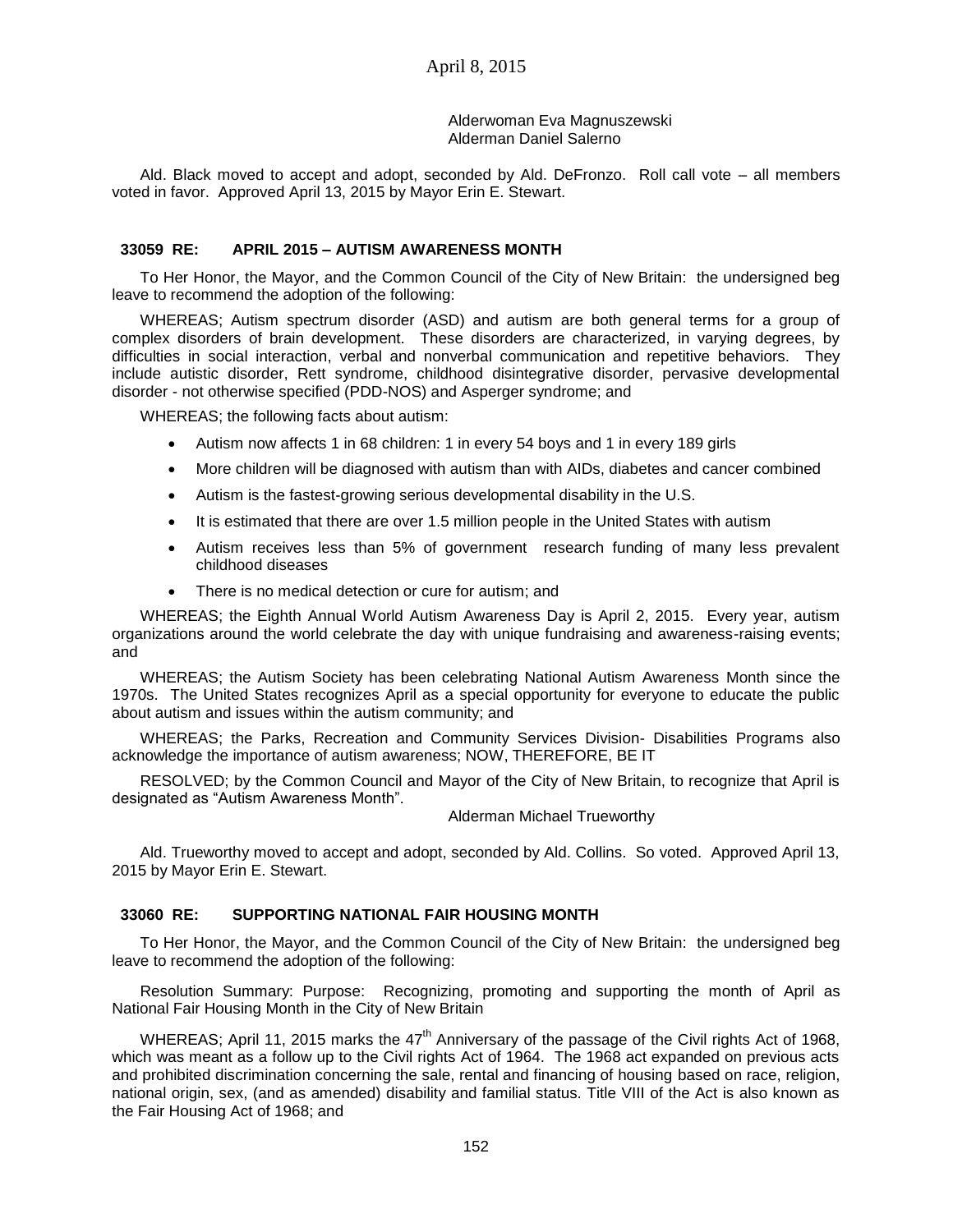### Alderwoman Eva Magnuszewski Alderman Daniel Salerno

Ald. Black moved to accept and adopt, seconded by Ald. DeFronzo. Roll call vote – all members voted in favor. Approved April 13, 2015 by Mayor Erin E. Stewart.

## **33059 RE: APRIL 2015 – AUTISM AWARENESS MONTH**

To Her Honor, the Mayor, and the Common Council of the City of New Britain: the undersigned beg leave to recommend the adoption of the following:

WHEREAS; Autism spectrum disorder (ASD) and autism are both general terms for a group of complex disorders of brain development. These disorders are characterized, in varying degrees, by difficulties in social interaction, verbal and nonverbal communication and repetitive behaviors. They include autistic disorder, Rett syndrome, childhood disintegrative disorder, pervasive developmental disorder - not otherwise specified (PDD-NOS) and Asperger syndrome; and

WHEREAS; the following facts about autism:

- Autism now affects 1 in 68 children: 1 in every 54 boys and 1 in every 189 girls
- More children will be diagnosed with autism than with AIDs, diabetes and cancer combined
- Autism is the fastest-growing serious developmental disability in the U.S.
- It is estimated that there are over 1.5 million people in the United States with autism
- Autism receives less than 5% of government research funding of many less prevalent childhood diseases
- There is no medical detection or cure for autism; and

WHEREAS; the Eighth Annual World Autism Awareness Day is April 2, 2015. Every year, autism organizations around the world celebrate the day with unique fundraising and awareness-raising events; and

WHEREAS; the Autism Society has been celebrating National Autism Awareness Month since the 1970s. The United States recognizes April as a special opportunity for everyone to educate the public about autism and issues within the autism community; and

WHEREAS; the Parks, Recreation and Community Services Division- Disabilities Programs also acknowledge the importance of autism awareness; NOW, THEREFORE, BE IT

RESOLVED; by the Common Council and Mayor of the City of New Britain, to recognize that April is designated as "Autism Awareness Month".

#### Alderman Michael Trueworthy

Ald. Trueworthy moved to accept and adopt, seconded by Ald. Collins. So voted. Approved April 13, 2015 by Mayor Erin E. Stewart.

## **33060 RE: SUPPORTING NATIONAL FAIR HOUSING MONTH**

To Her Honor, the Mayor, and the Common Council of the City of New Britain: the undersigned beg leave to recommend the adoption of the following:

Resolution Summary: Purpose: Recognizing, promoting and supporting the month of April as National Fair Housing Month in the City of New Britain

WHEREAS; April 11, 2015 marks the  $47<sup>th</sup>$  Anniversary of the passage of the Civil rights Act of 1968, which was meant as a follow up to the Civil rights Act of 1964. The 1968 act expanded on previous acts and prohibited discrimination concerning the sale, rental and financing of housing based on race, religion, national origin, sex, (and as amended) disability and familial status. Title VIII of the Act is also known as the Fair Housing Act of 1968; and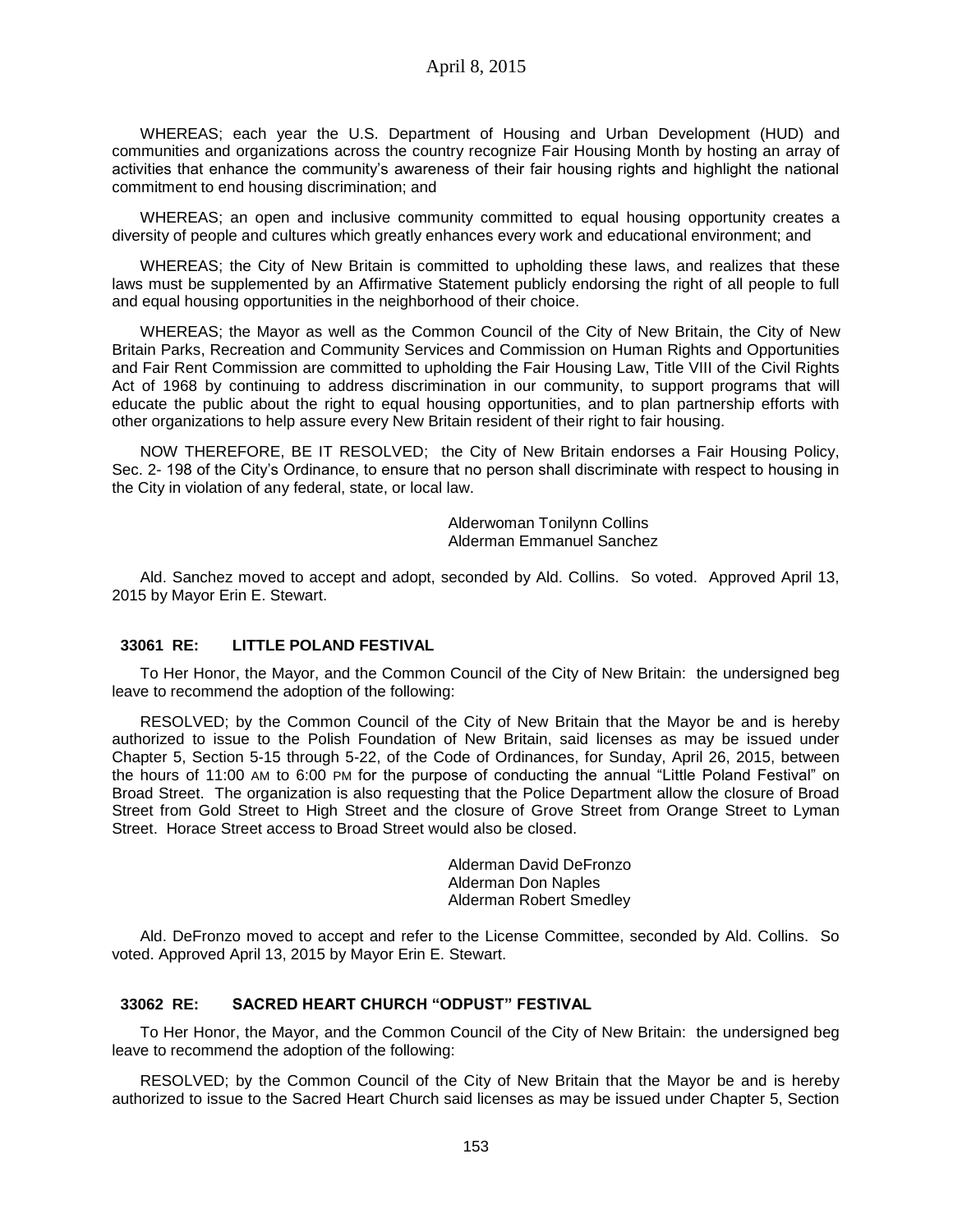WHEREAS; each year the U.S. Department of Housing and Urban Development (HUD) and communities and organizations across the country recognize Fair Housing Month by hosting an array of activities that enhance the community's awareness of their fair housing rights and highlight the national commitment to end housing discrimination; and

WHEREAS; an open and inclusive community committed to equal housing opportunity creates a diversity of people and cultures which greatly enhances every work and educational environment; and

WHEREAS; the City of New Britain is committed to upholding these laws, and realizes that these laws must be supplemented by an Affirmative Statement publicly endorsing the right of all people to full and equal housing opportunities in the neighborhood of their choice.

WHEREAS; the Mayor as well as the Common Council of the City of New Britain, the City of New Britain Parks, Recreation and Community Services and Commission on Human Rights and Opportunities and Fair Rent Commission are committed to upholding the Fair Housing Law, Title VIII of the Civil Rights Act of 1968 by continuing to address discrimination in our community, to support programs that will educate the public about the right to equal housing opportunities, and to plan partnership efforts with other organizations to help assure every New Britain resident of their right to fair housing.

NOW THEREFORE, BE IT RESOLVED; the City of New Britain endorses a Fair Housing Policy, Sec. 2- 198 of the City's Ordinance, to ensure that no person shall discriminate with respect to housing in the City in violation of any federal, state, or local law.

> Alderwoman Tonilynn Collins Alderman Emmanuel Sanchez

Ald. Sanchez moved to accept and adopt, seconded by Ald. Collins. So voted. Approved April 13, 2015 by Mayor Erin E. Stewart.

### **33061 RE: LITTLE POLAND FESTIVAL**

To Her Honor, the Mayor, and the Common Council of the City of New Britain: the undersigned beg leave to recommend the adoption of the following:

RESOLVED; by the Common Council of the City of New Britain that the Mayor be and is hereby authorized to issue to the Polish Foundation of New Britain, said licenses as may be issued under Chapter 5, Section 5-15 through 5-22, of the Code of Ordinances, for Sunday, April 26, 2015, between the hours of 11:00 AM to 6:00 PM for the purpose of conducting the annual "Little Poland Festival" on Broad Street. The organization is also requesting that the Police Department allow the closure of Broad Street from Gold Street to High Street and the closure of Grove Street from Orange Street to Lyman Street. Horace Street access to Broad Street would also be closed.

> Alderman David DeFronzo Alderman Don Naples Alderman Robert Smedley

Ald. DeFronzo moved to accept and refer to the License Committee, seconded by Ald. Collins. So voted. Approved April 13, 2015 by Mayor Erin E. Stewart.

### **33062 RE: SACRED HEART CHURCH "ODPUST" FESTIVAL**

To Her Honor, the Mayor, and the Common Council of the City of New Britain: the undersigned beg leave to recommend the adoption of the following:

RESOLVED; by the Common Council of the City of New Britain that the Mayor be and is hereby authorized to issue to the Sacred Heart Church said licenses as may be issued under Chapter 5, Section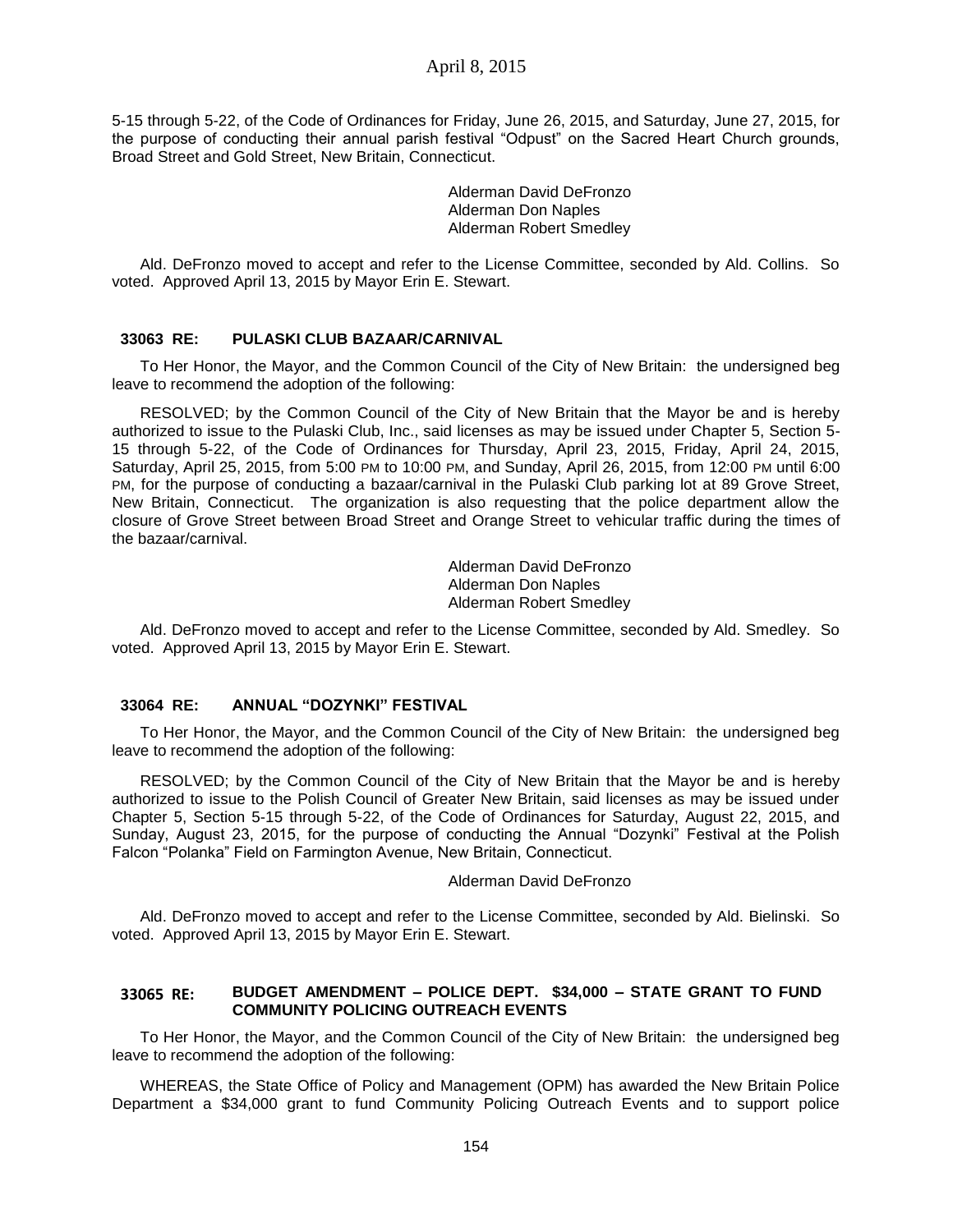5-15 through 5-22, of the Code of Ordinances for Friday, June 26, 2015, and Saturday, June 27, 2015, for the purpose of conducting their annual parish festival "Odpust" on the Sacred Heart Church grounds, Broad Street and Gold Street, New Britain, Connecticut.

> Alderman David DeFronzo Alderman Don Naples Alderman Robert Smedley

Ald. DeFronzo moved to accept and refer to the License Committee, seconded by Ald. Collins. So voted. Approved April 13, 2015 by Mayor Erin E. Stewart.

#### **33063 RE: PULASKI CLUB BAZAAR/CARNIVAL**

To Her Honor, the Mayor, and the Common Council of the City of New Britain: the undersigned beg leave to recommend the adoption of the following:

RESOLVED; by the Common Council of the City of New Britain that the Mayor be and is hereby authorized to issue to the Pulaski Club, Inc., said licenses as may be issued under Chapter 5, Section 5- 15 through 5-22, of the Code of Ordinances for Thursday, April 23, 2015, Friday, April 24, 2015, Saturday, April 25, 2015, from 5:00 PM to 10:00 PM, and Sunday, April 26, 2015, from 12:00 PM until 6:00 PM, for the purpose of conducting a bazaar/carnival in the Pulaski Club parking lot at 89 Grove Street, New Britain, Connecticut. The organization is also requesting that the police department allow the closure of Grove Street between Broad Street and Orange Street to vehicular traffic during the times of the bazaar/carnival.

> Alderman David DeFronzo Alderman Don Naples Alderman Robert Smedley

Ald. DeFronzo moved to accept and refer to the License Committee, seconded by Ald. Smedley. So voted. Approved April 13, 2015 by Mayor Erin E. Stewart.

## **33064 RE: ANNUAL "DOZYNKI" FESTIVAL**

To Her Honor, the Mayor, and the Common Council of the City of New Britain: the undersigned beg leave to recommend the adoption of the following:

RESOLVED; by the Common Council of the City of New Britain that the Mayor be and is hereby authorized to issue to the Polish Council of Greater New Britain, said licenses as may be issued under Chapter 5, Section 5-15 through 5-22, of the Code of Ordinances for Saturday, August 22, 2015, and Sunday, August 23, 2015, for the purpose of conducting the Annual "Dozynki" Festival at the Polish Falcon "Polanka" Field on Farmington Avenue, New Britain, Connecticut.

#### Alderman David DeFronzo

Ald. DeFronzo moved to accept and refer to the License Committee, seconded by Ald. Bielinski. So voted. Approved April 13, 2015 by Mayor Erin E. Stewart.

### **33065 RE: BUDGET AMENDMENT – POLICE DEPT. \$34,000 – STATE GRANT TO FUND COMMUNITY POLICING OUTREACH EVENTS**

To Her Honor, the Mayor, and the Common Council of the City of New Britain: the undersigned beg leave to recommend the adoption of the following:

WHEREAS, the State Office of Policy and Management (OPM) has awarded the New Britain Police Department a \$34,000 grant to fund Community Policing Outreach Events and to support police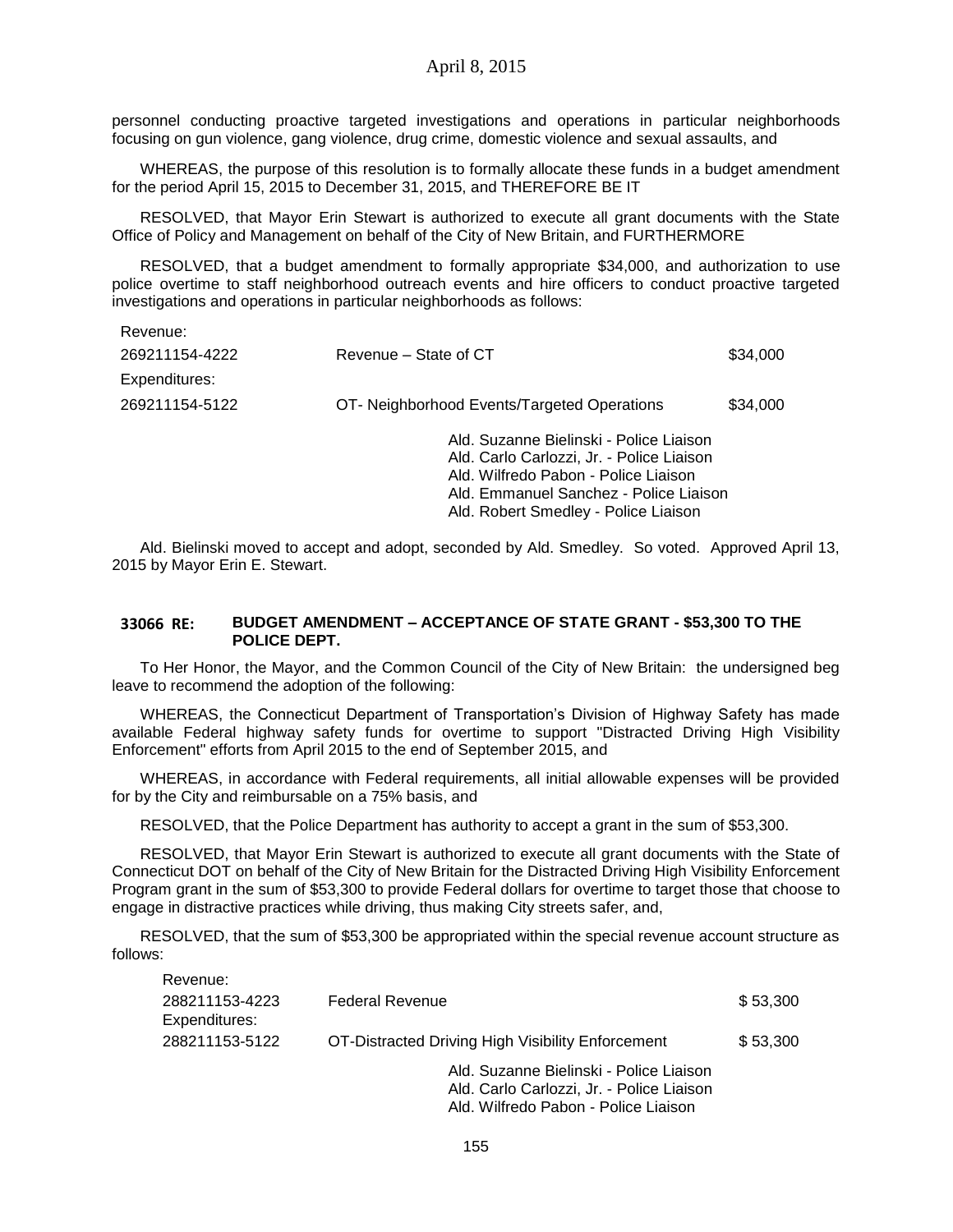personnel conducting proactive targeted investigations and operations in particular neighborhoods focusing on gun violence, gang violence, drug crime, domestic violence and sexual assaults, and

WHEREAS, the purpose of this resolution is to formally allocate these funds in a budget amendment for the period April 15, 2015 to December 31, 2015, and THEREFORE BE IT

RESOLVED, that Mayor Erin Stewart is authorized to execute all grant documents with the State Office of Policy and Management on behalf of the City of New Britain, and FURTHERMORE

RESOLVED, that a budget amendment to formally appropriate \$34,000, and authorization to use police overtime to staff neighborhood outreach events and hire officers to conduct proactive targeted investigations and operations in particular neighborhoods as follows:

| Revenue:       |                                             |          |
|----------------|---------------------------------------------|----------|
| 269211154-4222 | Revenue – State of CT                       | \$34,000 |
| Expenditures:  |                                             |          |
| 269211154-5122 | OT- Neighborhood Events/Targeted Operations | \$34,000 |
|                | Ald. Suzanne Bielinski - Police Liaison     |          |
|                | Ald. Carlo Carlozzi, Jr. - Police Liaison   |          |
|                | Ald. Wilfredo Pabon - Police Liaison        |          |
|                | Ald. Emmanuel Sanchez - Police Liaison      |          |
|                | Ald. Robert Smedley - Police Liaison        |          |

Ald. Bielinski moved to accept and adopt, seconded by Ald. Smedley. So voted. Approved April 13, 2015 by Mayor Erin E. Stewart.

### **33066 RE: BUDGET AMENDMENT – ACCEPTANCE OF STATE GRANT - \$53,300 TO THE POLICE DEPT.**

To Her Honor, the Mayor, and the Common Council of the City of New Britain: the undersigned beg leave to recommend the adoption of the following:

WHEREAS, the Connecticut Department of Transportation's Division of Highway Safety has made available Federal highway safety funds for overtime to support "Distracted Driving High Visibility Enforcement" efforts from April 2015 to the end of September 2015, and

WHEREAS, in accordance with Federal requirements, all initial allowable expenses will be provided for by the City and reimbursable on a 75% basis, and

RESOLVED, that the Police Department has authority to accept a grant in the sum of \$53,300.

RESOLVED, that Mayor Erin Stewart is authorized to execute all grant documents with the State of Connecticut DOT on behalf of the City of New Britain for the Distracted Driving High Visibility Enforcement Program grant in the sum of \$53,300 to provide Federal dollars for overtime to target those that choose to engage in distractive practices while driving, thus making City streets safer, and,

RESOLVED, that the sum of \$53,300 be appropriated within the special revenue account structure as follows:

| Revenue:                        |                                                   |          |
|---------------------------------|---------------------------------------------------|----------|
| 288211153-4223<br>Expenditures: | <b>Federal Revenue</b>                            | \$53,300 |
| 288211153-5122                  | OT-Distracted Driving High Visibility Enforcement | \$53,300 |
|                                 | Ald. Suzanne Bielinski - Police Liaison           |          |
|                                 | Ald. Carlo Carlozzi, Jr. - Police Liaison         |          |
|                                 | Ald. Wilfredo Pabon - Police Liaison              |          |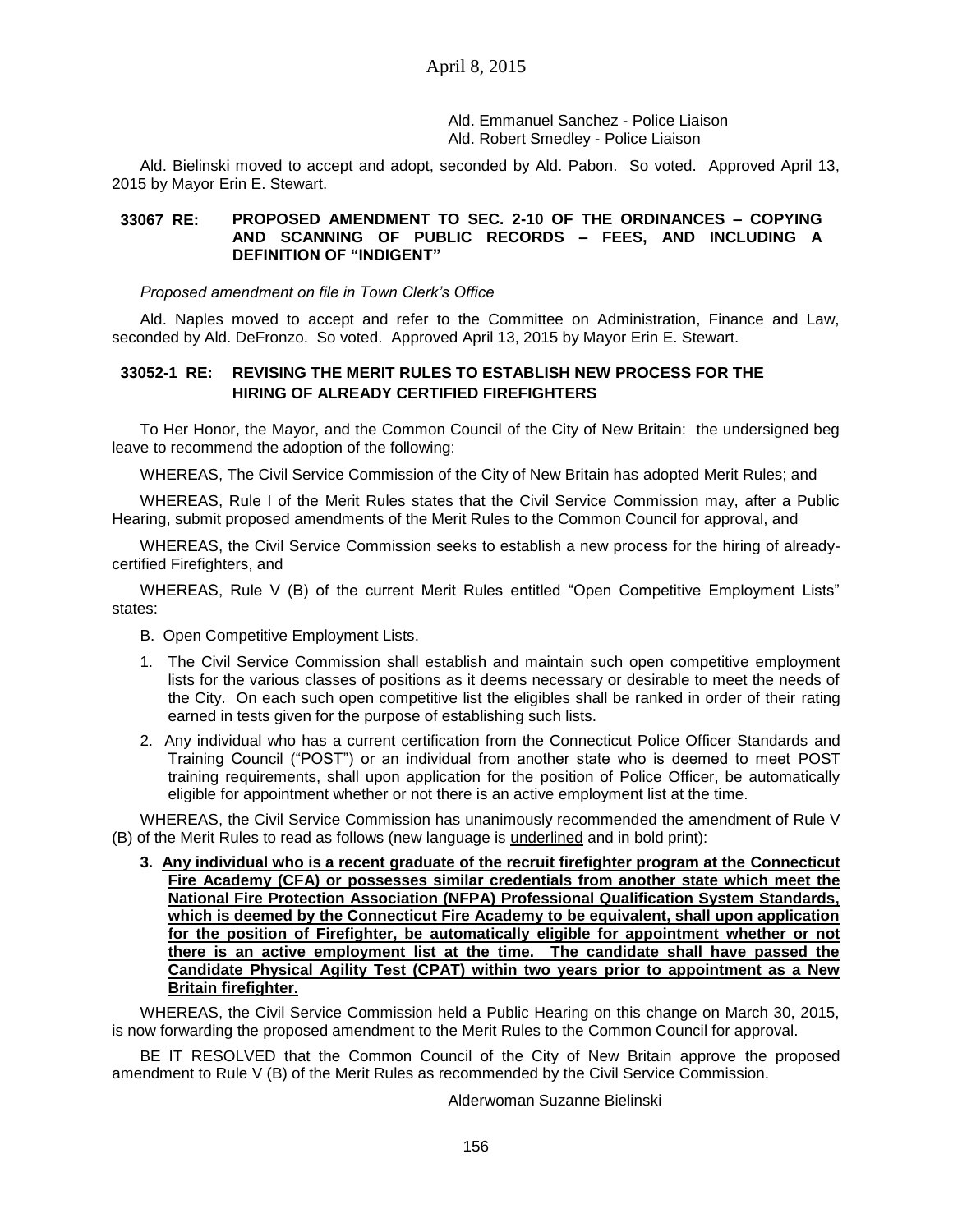Ald. Emmanuel Sanchez - Police Liaison Ald. Robert Smedley - Police Liaison

Ald. Bielinski moved to accept and adopt, seconded by Ald. Pabon. So voted. Approved April 13, 2015 by Mayor Erin E. Stewart.

### **33067 RE: PROPOSED AMENDMENT TO SEC. 2-10 OF THE ORDINANCES – COPYING AND SCANNING OF PUBLIC RECORDS – FEES, AND INCLUDING A DEFINITION OF "INDIGENT"**

#### *Proposed amendment on file in Town Clerk's Office*

Ald. Naples moved to accept and refer to the Committee on Administration, Finance and Law, seconded by Ald. DeFronzo. So voted. Approved April 13, 2015 by Mayor Erin E. Stewart.

## **33052-1 RE: REVISING THE MERIT RULES TO ESTABLISH NEW PROCESS FOR THE HIRING OF ALREADY CERTIFIED FIREFIGHTERS**

To Her Honor, the Mayor, and the Common Council of the City of New Britain: the undersigned beg leave to recommend the adoption of the following:

WHEREAS, The Civil Service Commission of the City of New Britain has adopted Merit Rules; and

WHEREAS, Rule I of the Merit Rules states that the Civil Service Commission may, after a Public Hearing, submit proposed amendments of the Merit Rules to the Common Council for approval, and

WHEREAS, the Civil Service Commission seeks to establish a new process for the hiring of alreadycertified Firefighters, and

WHEREAS, Rule V (B) of the current Merit Rules entitled "Open Competitive Employment Lists" states:

- B. Open Competitive Employment Lists.
- 1. The Civil Service Commission shall establish and maintain such open competitive employment lists for the various classes of positions as it deems necessary or desirable to meet the needs of the City. On each such open competitive list the eligibles shall be ranked in order of their rating earned in tests given for the purpose of establishing such lists.
- 2. Any individual who has a current certification from the Connecticut Police Officer Standards and Training Council ("POST") or an individual from another state who is deemed to meet POST training requirements, shall upon application for the position of Police Officer, be automatically eligible for appointment whether or not there is an active employment list at the time.

WHEREAS, the Civil Service Commission has unanimously recommended the amendment of Rule V (B) of the Merit Rules to read as follows (new language is underlined and in bold print):

**3. Any individual who is a recent graduate of the recruit firefighter program at the Connecticut Fire Academy (CFA) or possesses similar credentials from another state which meet the National Fire Protection Association (NFPA) Professional Qualification System Standards, which is deemed by the Connecticut Fire Academy to be equivalent, shall upon application for the position of Firefighter, be automatically eligible for appointment whether or not there is an active employment list at the time. The candidate shall have passed the Candidate Physical Agility Test (CPAT) within two years prior to appointment as a New Britain firefighter.**

WHEREAS, the Civil Service Commission held a Public Hearing on this change on March 30, 2015, is now forwarding the proposed amendment to the Merit Rules to the Common Council for approval.

BE IT RESOLVED that the Common Council of the City of New Britain approve the proposed amendment to Rule V (B) of the Merit Rules as recommended by the Civil Service Commission.

Alderwoman Suzanne Bielinski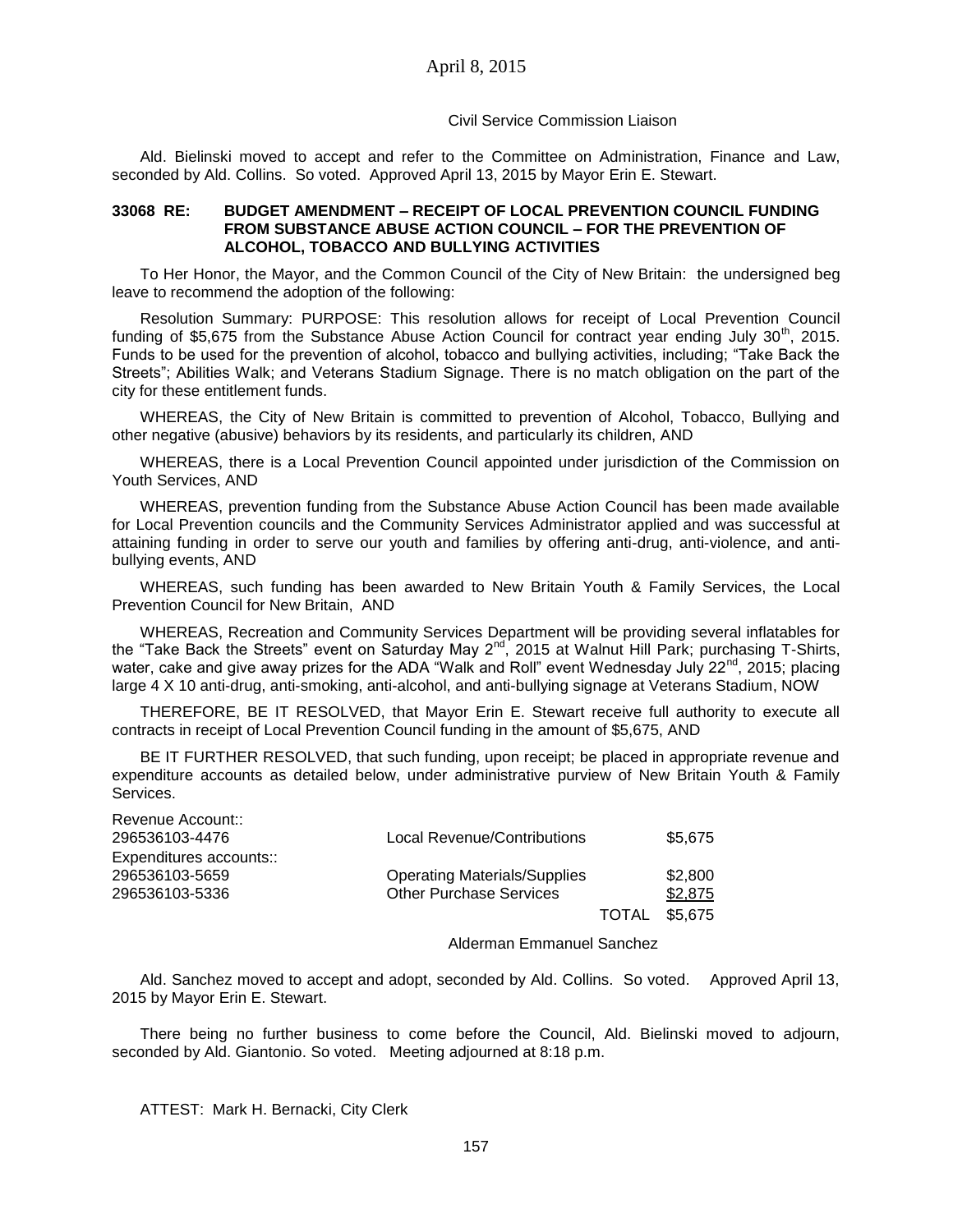#### Civil Service Commission Liaison

Ald. Bielinski moved to accept and refer to the Committee on Administration, Finance and Law, seconded by Ald. Collins. So voted. Approved April 13, 2015 by Mayor Erin E. Stewart.

### **33068 RE: BUDGET AMENDMENT – RECEIPT OF LOCAL PREVENTION COUNCIL FUNDING FROM SUBSTANCE ABUSE ACTION COUNCIL – FOR THE PREVENTION OF ALCOHOL, TOBACCO AND BULLYING ACTIVITIES**

To Her Honor, the Mayor, and the Common Council of the City of New Britain: the undersigned beg leave to recommend the adoption of the following:

Resolution Summary: PURPOSE: This resolution allows for receipt of Local Prevention Council funding of \$5,675 from the Substance Abuse Action Council for contract year ending July  $30^{th}$ , 2015. Funds to be used for the prevention of alcohol, tobacco and bullying activities, including; "Take Back the Streets"; Abilities Walk; and Veterans Stadium Signage. There is no match obligation on the part of the city for these entitlement funds.

WHEREAS, the City of New Britain is committed to prevention of Alcohol, Tobacco, Bullying and other negative (abusive) behaviors by its residents, and particularly its children, AND

WHEREAS, there is a Local Prevention Council appointed under jurisdiction of the Commission on Youth Services, AND

WHEREAS, prevention funding from the Substance Abuse Action Council has been made available for Local Prevention councils and the Community Services Administrator applied and was successful at attaining funding in order to serve our youth and families by offering anti-drug, anti-violence, and antibullying events, AND

WHEREAS, such funding has been awarded to New Britain Youth & Family Services, the Local Prevention Council for New Britain, AND

WHEREAS, Recreation and Community Services Department will be providing several inflatables for the "Take Back the Streets" event on Saturday May 2nd, 2015 at Walnut Hill Park; purchasing T-Shirts, water, cake and give away prizes for the ADA "Walk and Roll" event Wednesday July 22<sup>nd</sup>, 2015; placing large 4 X 10 anti-drug, anti-smoking, anti-alcohol, and anti-bullying signage at Veterans Stadium, NOW

THEREFORE, BE IT RESOLVED, that Mayor Erin E. Stewart receive full authority to execute all contracts in receipt of Local Prevention Council funding in the amount of \$5,675, AND

BE IT FURTHER RESOLVED, that such funding, upon receipt; be placed in appropriate revenue and expenditure accounts as detailed below, under administrative purview of New Britain Youth & Family Services.

| Revenue Account::<br>296536103-4476                         | Local Revenue/Contributions                                           |                      | \$5,675            |
|-------------------------------------------------------------|-----------------------------------------------------------------------|----------------------|--------------------|
| Expenditures accounts::<br>296536103-5659<br>296536103-5336 | <b>Operating Materials/Supplies</b><br><b>Other Purchase Services</b> |                      | \$2,800<br>\$2,875 |
|                                                             |                                                                       | <b>TOTAL \$5,675</b> |                    |

Alderman Emmanuel Sanchez

Ald. Sanchez moved to accept and adopt, seconded by Ald. Collins. So voted. Approved April 13, 2015 by Mayor Erin E. Stewart.

There being no further business to come before the Council, Ald. Bielinski moved to adjourn, seconded by Ald. Giantonio. So voted. Meeting adjourned at 8:18 p.m.

ATTEST: Mark H. Bernacki, City Clerk